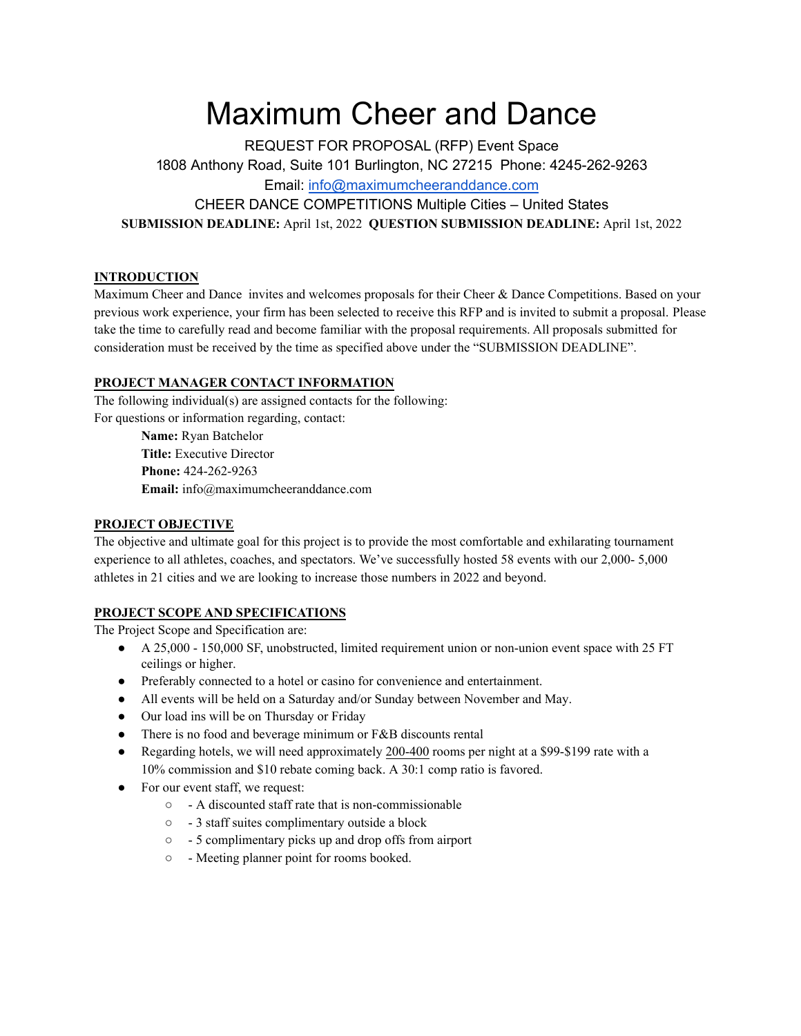# Maximum Cheer and Dance

REQUEST FOR PROPOSAL (RFP) Event Space 1808 Anthony Road, Suite 101 Burlington, NC 27215 Phone: 4245-262-9263 Email: [info@maximumcheeranddance.com](mailto:info@revolutionchampionships.com) CHEER DANCE COMPETITIONS Multiple Cities – United States **SUBMISSION DEADLINE:** April 1st, 2022 **QUESTION SUBMISSION DEADLINE:** April 1st, 2022

## **INTRODUCTION**

Maximum Cheer and Dance invites and welcomes proposals for their Cheer & Dance Competitions. Based on your previous work experience, your firm has been selected to receive this RFP and is invited to submit a proposal. Please take the time to carefully read and become familiar with the proposal requirements. All proposals submitted for consideration must be received by the time as specified above under the "SUBMISSION DEADLINE".

## **PROJECT MANAGER CONTACT INFORMATION**

The following individual(s) are assigned contacts for the following: For questions or information regarding, contact:

> **Name:** Ryan Batchelor **Title:** Executive Director **Phone:** 424-262-9263 **Email:** info@maximumcheeranddance.com

#### **PROJECT OBJECTIVE**

The objective and ultimate goal for this project is to provide the most comfortable and exhilarating tournament experience to all athletes, coaches, and spectators. We've successfully hosted 58 events with our 2,000- 5,000 athletes in 21 cities and we are looking to increase those numbers in 2022 and beyond.

## **PROJECT SCOPE AND SPECIFICATIONS**

The Project Scope and Specification are:

- A 25,000 150,000 SF, unobstructed, limited requirement union or non-union event space with 25 FT ceilings or higher.
- Preferably connected to a hotel or casino for convenience and entertainment.
- All events will be held on a Saturday and/or Sunday between November and May.
- Our load ins will be on Thursday or Friday
- There is no food and beverage minimum or F&B discounts rental
- Regarding hotels, we will need approximately 200-400 rooms per night at a \$99-\$199 rate with a 10% commission and \$10 rebate coming back. A 30:1 comp ratio is favored.
- For our event staff, we request:
	- - A discounted staff rate that is non-commissionable
	- - 3 staff suites complimentary outside a block
	- - 5 complimentary picks up and drop offs from airport
	- - Meeting planner point for rooms booked.